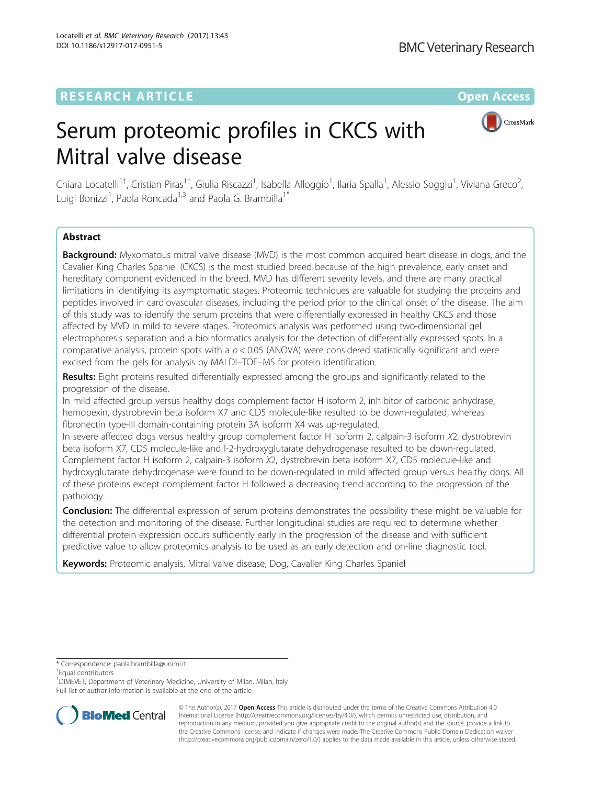# **RESEARCH ARTICLE Example 2014 12:30 The Contract of Contract ACCESS**



# Serum proteomic profiles in CKCS with Mitral valve disease

Chiara Locatelli<sup>1†</sup>, Cristian Piras<sup>1†</sup>, Giulia Riscazzi<sup>1</sup>, Isabella Alloggio<sup>1</sup>, Ilaria Spalla<sup>1</sup>, Alessio Soggiu<sup>1</sup>, Viviana Greco<sup>2</sup> , Luigi Bonizzi<sup>1</sup>, Paola Roncada<sup>1,3</sup> and Paola G. Brambilla<sup>1\*</sup>

# Abstract

**Background:** Myxomatous mitral valve disease (MVD) is the most common acquired heart disease in dogs, and the Cavalier King Charles Spaniel (CKCS) is the most studied breed because of the high prevalence, early onset and hereditary component evidenced in the breed. MVD has different severity levels, and there are many practical limitations in identifying its asymptomatic stages. Proteomic techniques are valuable for studying the proteins and peptides involved in cardiovascular diseases, including the period prior to the clinical onset of the disease. The aim of this study was to identify the serum proteins that were differentially expressed in healthy CKCS and those affected by MVD in mild to severe stages. Proteomics analysis was performed using two-dimensional gel electrophoresis separation and a bioinformatics analysis for the detection of differentially expressed spots. In a comparative analysis, protein spots with a  $p < 0.05$  (ANOVA) were considered statistically significant and were excised from the gels for analysis by MALDI–TOF–MS for protein identification.

Results: Eight proteins resulted differentially expressed among the groups and significantly related to the progression of the disease.

In mild affected group versus healthy dogs complement factor H isoform 2, inhibitor of carbonic anhydrase, hemopexin, dystrobrevin beta isoform X7 and CD5 molecule-like resulted to be down-regulated, whereas fibronectin type-III domain-containing protein 3A isoform X4 was up-regulated.

In severe affected dogs versus healthy group complement factor H isoform 2, calpain-3 isoform X2, dystrobrevin beta isoform X7, CD5 molecule-like and l-2-hydroxyglutarate dehydrogenase resulted to be down-regulated. Complement factor H isoform 2, calpain-3 isoform X2, dystrobrevin beta isoform X7, CD5 molecule-like and hydroxyglutarate dehydrogenase were found to be down-regulated in mild affected group versus healthy dogs. All of these proteins except complement factor H followed a decreasing trend according to the progression of the pathology.

Conclusion: The differential expression of serum proteins demonstrates the possibility these might be valuable for the detection and monitoring of the disease. Further longitudinal studies are required to determine whether differential protein expression occurs sufficiently early in the progression of the disease and with sufficient predictive value to allow proteomics analysis to be used as an early detection and on-line diagnostic tool.

Keywords: Proteomic analysis, Mitral valve disease, Dog, Cavalier King Charles Spaniel

<sup>+</sup>Fqual contributors

<sup>1</sup> DIMEVET, Department of Veterinary Medicine, University of Milan, Milan, Italy Full list of author information is available at the end of the article



© The Author(s). 2017 **Open Access** This article is distributed under the terms of the Creative Commons Attribution 4.0 International License [\(http://creativecommons.org/licenses/by/4.0/](http://creativecommons.org/licenses/by/4.0/)), which permits unrestricted use, distribution, and reproduction in any medium, provided you give appropriate credit to the original author(s) and the source, provide a link to the Creative Commons license, and indicate if changes were made. The Creative Commons Public Domain Dedication waiver [\(http://creativecommons.org/publicdomain/zero/1.0/](http://creativecommons.org/publicdomain/zero/1.0/)) applies to the data made available in this article, unless otherwise stated.

<sup>\*</sup> Correspondence: [paola.brambilla@unimi.it](mailto:paola.brambilla@unimi.it) †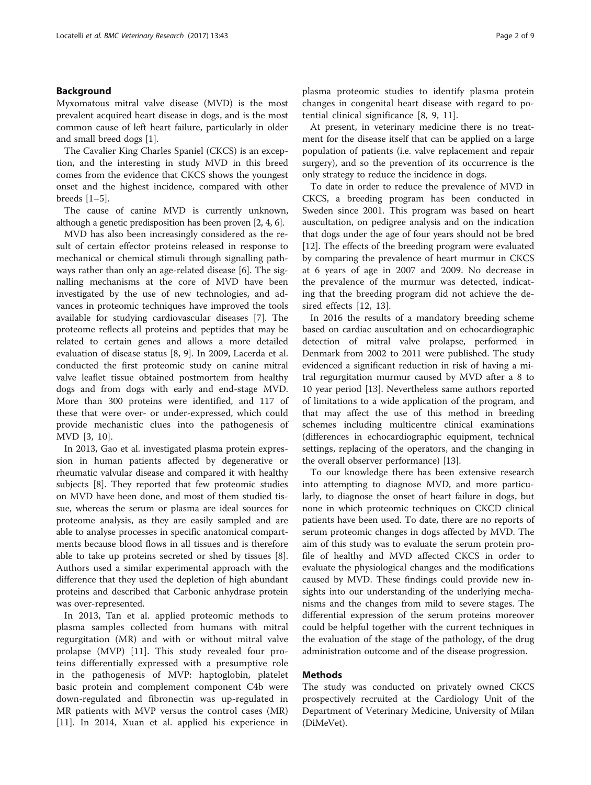# Background

Myxomatous mitral valve disease (MVD) is the most prevalent acquired heart disease in dogs, and is the most common cause of left heart failure, particularly in older and small breed dogs [[1\]](#page-8-0).

The Cavalier King Charles Spaniel (CKCS) is an exception, and the interesting in study MVD in this breed comes from the evidence that CKCS shows the youngest onset and the highest incidence, compared with other breeds [\[1](#page-8-0)–[5](#page-8-0)].

The cause of canine MVD is currently unknown, although a genetic predisposition has been proven [\[2](#page-8-0), [4](#page-8-0), [6\]](#page-8-0).

MVD has also been increasingly considered as the result of certain effector proteins released in response to mechanical or chemical stimuli through signalling pathways rather than only an age-related disease [[6\]](#page-8-0). The signalling mechanisms at the core of MVD have been investigated by the use of new technologies, and advances in proteomic techniques have improved the tools available for studying cardiovascular diseases [[7\]](#page-8-0). The proteome reflects all proteins and peptides that may be related to certain genes and allows a more detailed evaluation of disease status [[8, 9\]](#page-8-0). In 2009, Lacerda et al. conducted the first proteomic study on canine mitral valve leaflet tissue obtained postmortem from healthy dogs and from dogs with early and end-stage MVD. More than 300 proteins were identified, and 117 of these that were over- or under-expressed, which could provide mechanistic clues into the pathogenesis of MVD [\[3](#page-8-0), [10](#page-8-0)].

In 2013, Gao et al. investigated plasma protein expression in human patients affected by degenerative or rheumatic valvular disease and compared it with healthy subjects [\[8\]](#page-8-0). They reported that few proteomic studies on MVD have been done, and most of them studied tissue, whereas the serum or plasma are ideal sources for proteome analysis, as they are easily sampled and are able to analyse processes in specific anatomical compartments because blood flows in all tissues and is therefore able to take up proteins secreted or shed by tissues [\[8](#page-8-0)]. Authors used a similar experimental approach with the difference that they used the depletion of high abundant proteins and described that Carbonic anhydrase protein was over-represented.

In 2013, Tan et al. applied proteomic methods to plasma samples collected from humans with mitral regurgitation (MR) and with or without mitral valve prolapse (MVP) [[11](#page-8-0)]. This study revealed four proteins differentially expressed with a presumptive role in the pathogenesis of MVP: haptoglobin, platelet basic protein and complement component C4b were down-regulated and fibronectin was up-regulated in MR patients with MVP versus the control cases (MR) [[11\]](#page-8-0). In 2014, Xuan et al. applied his experience in

At present, in veterinary medicine there is no treatment for the disease itself that can be applied on a large population of patients (i.e. valve replacement and repair surgery), and so the prevention of its occurrence is the only strategy to reduce the incidence in dogs.

To date in order to reduce the prevalence of MVD in CKCS, a breeding program has been conducted in Sweden since 2001. This program was based on heart auscultation, on pedigree analysis and on the indication that dogs under the age of four years should not be bred [[12\]](#page-8-0). The effects of the breeding program were evaluated by comparing the prevalence of heart murmur in CKCS at 6 years of age in 2007 and 2009. No decrease in the prevalence of the murmur was detected, indicating that the breeding program did not achieve the desired effects [[12, 13\]](#page-8-0).

In 2016 the results of a mandatory breeding scheme based on cardiac auscultation and on echocardiographic detection of mitral valve prolapse, performed in Denmark from 2002 to 2011 were published. The study evidenced a significant reduction in risk of having a mitral regurgitation murmur caused by MVD after a 8 to 10 year period [\[13\]](#page-8-0). Nevertheless same authors reported of limitations to a wide application of the program, and that may affect the use of this method in breeding schemes including multicentre clinical examinations (differences in echocardiographic equipment, technical settings, replacing of the operators, and the changing in the overall observer performance) [[13](#page-8-0)].

To our knowledge there has been extensive research into attempting to diagnose MVD, and more particularly, to diagnose the onset of heart failure in dogs, but none in which proteomic techniques on CKCD clinical patients have been used. To date, there are no reports of serum proteomic changes in dogs affected by MVD. The aim of this study was to evaluate the serum protein profile of healthy and MVD affected CKCS in order to evaluate the physiological changes and the modifications caused by MVD. These findings could provide new insights into our understanding of the underlying mechanisms and the changes from mild to severe stages. The differential expression of the serum proteins moreover could be helpful together with the current techniques in the evaluation of the stage of the pathology, of the drug administration outcome and of the disease progression.

# Methods

The study was conducted on privately owned CKCS prospectively recruited at the Cardiology Unit of the Department of Veterinary Medicine, University of Milan (DiMeVet).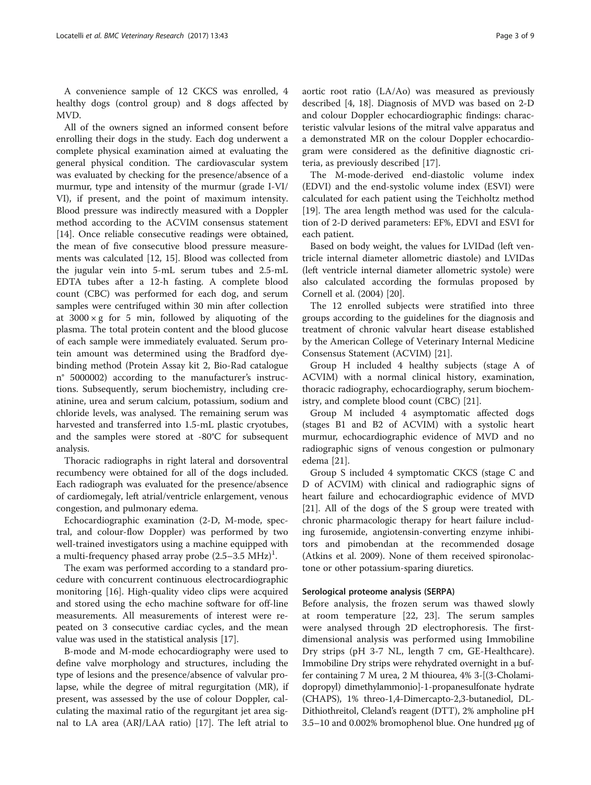A convenience sample of 12 CKCS was enrolled, 4 healthy dogs (control group) and 8 dogs affected by MVD.

All of the owners signed an informed consent before enrolling their dogs in the study. Each dog underwent a complete physical examination aimed at evaluating the general physical condition. The cardiovascular system was evaluated by checking for the presence/absence of a murmur, type and intensity of the murmur (grade I-VI/ VI), if present, and the point of maximum intensity. Blood pressure was indirectly measured with a Doppler method according to the ACVIM consensus statement [[14\]](#page-8-0). Once reliable consecutive readings were obtained, the mean of five consecutive blood pressure measurements was calculated [\[12, 15](#page-8-0)]. Blood was collected from the jugular vein into 5-mL serum tubes and 2.5-mL EDTA tubes after a 12-h fasting. A complete blood count (CBC) was performed for each dog, and serum samples were centrifuged within 30 min after collection at  $3000 \times g$  for 5 min, followed by aliquoting of the plasma. The total protein content and the blood glucose of each sample were immediately evaluated. Serum protein amount was determined using the Bradford dyebinding method (Protein Assay kit 2, Bio-Rad catalogue n° 5000002) according to the manufacturer's instructions. Subsequently, serum biochemistry, including creatinine, urea and serum calcium, potassium, sodium and chloride levels, was analysed. The remaining serum was harvested and transferred into 1.5-mL plastic cryotubes, and the samples were stored at -80°C for subsequent analysis.

Thoracic radiographs in right lateral and dorsoventral recumbency were obtained for all of the dogs included. Each radiograph was evaluated for the presence/absence of cardiomegaly, left atrial/ventricle enlargement, venous congestion, and pulmonary edema.

Echocardiographic examination (2-D, M-mode, spectral, and colour-flow Doppler) was performed by two well-trained investigators using a machine equipped with a multi-frequency phased array probe  $(2.5-3.5 \ \mathrm{MHz})^1$ .

The exam was performed according to a standard procedure with concurrent continuous electrocardiographic monitoring [[16\]](#page-8-0). High-quality video clips were acquired and stored using the echo machine software for off-line measurements. All measurements of interest were repeated on 3 consecutive cardiac cycles, and the mean value was used in the statistical analysis [[17](#page-8-0)].

B-mode and M-mode echocardiography were used to define valve morphology and structures, including the type of lesions and the presence/absence of valvular prolapse, while the degree of mitral regurgitation (MR), if present, was assessed by the use of colour Doppler, calculating the maximal ratio of the regurgitant jet area signal to LA area (ARJ/LAA ratio) [\[17](#page-8-0)]. The left atrial to aortic root ratio (LA/Ao) was measured as previously described [[4](#page-8-0), [18](#page-8-0)]. Diagnosis of MVD was based on 2-D and colour Doppler echocardiographic findings: characteristic valvular lesions of the mitral valve apparatus and a demonstrated MR on the colour Doppler echocardiogram were considered as the definitive diagnostic criteria, as previously described [[17\]](#page-8-0).

The M-mode-derived end-diastolic volume index (EDVI) and the end-systolic volume index (ESVI) were calculated for each patient using the Teichholtz method [[19\]](#page-8-0). The area length method was used for the calculation of 2-D derived parameters: EF%, EDVI and ESVI for each patient.

Based on body weight, the values for LVIDad (left ventricle internal diameter allometric diastole) and LVIDas (left ventricle internal diameter allometric systole) were also calculated according the formulas proposed by Cornell et al. (2004) [[20](#page-8-0)].

The 12 enrolled subjects were stratified into three groups according to the guidelines for the diagnosis and treatment of chronic valvular heart disease established by the American College of Veterinary Internal Medicine Consensus Statement (ACVIM) [[21\]](#page-8-0).

Group H included 4 healthy subjects (stage A of ACVIM) with a normal clinical history, examination, thoracic radiography, echocardiography, serum biochemistry, and complete blood count (CBC) [\[21\]](#page-8-0).

Group M included 4 asymptomatic affected dogs (stages B1 and B2 of ACVIM) with a systolic heart murmur, echocardiographic evidence of MVD and no radiographic signs of venous congestion or pulmonary edema [\[21](#page-8-0)].

Group S included 4 symptomatic CKCS (stage C and D of ACVIM) with clinical and radiographic signs of heart failure and echocardiographic evidence of MVD [[21\]](#page-8-0). All of the dogs of the S group were treated with chronic pharmacologic therapy for heart failure including furosemide, angiotensin-converting enzyme inhibitors and pimobendan at the recommended dosage (Atkins et al. 2009). None of them received spironolactone or other potassium-sparing diuretics.

# Serological proteome analysis (SERPA)

Before analysis, the frozen serum was thawed slowly at room temperature [[22](#page-8-0), [23\]](#page-8-0). The serum samples were analysed through 2D electrophoresis. The firstdimensional analysis was performed using Immobiline Dry strips (pH 3-7 NL, length 7 cm, GE-Healthcare). Immobiline Dry strips were rehydrated overnight in a buffer containing 7 M urea, 2 M thiourea, 4% 3-[(3-Cholamidopropyl) dimethylammonio]-1-propanesulfonate hydrate (CHAPS), 1% threo-1,4-Dimercapto-2,3-butanediol, DL-Dithiothreitol, Cleland's reagent (DTT), 2% ampholine pH 3.5–10 and 0.002% bromophenol blue. One hundred μg of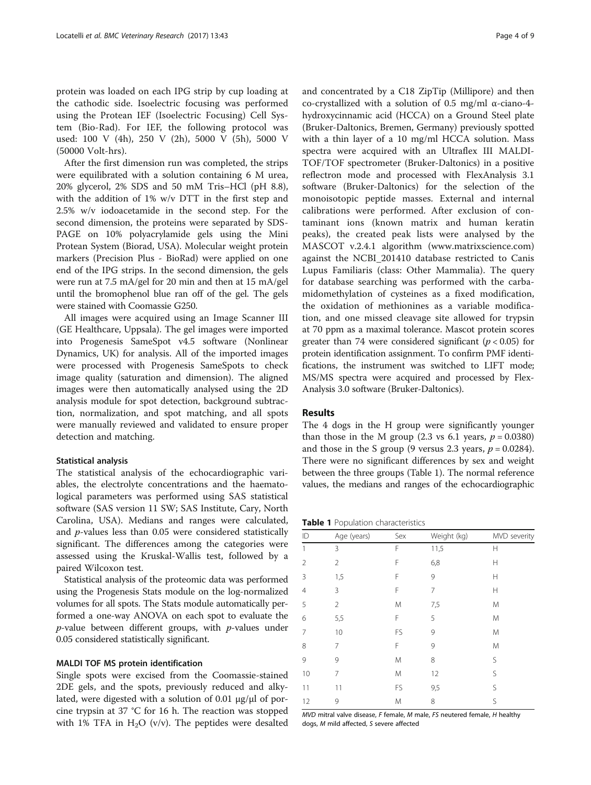protein was loaded on each IPG strip by cup loading at the cathodic side. Isoelectric focusing was performed using the Protean IEF (Isoelectric Focusing) Cell System (Bio-Rad). For IEF, the following protocol was used: 100 V (4h), 250 V (2h), 5000 V (5h), 5000 V (50000 Volt-hrs).

After the first dimension run was completed, the strips were equilibrated with a solution containing 6 M urea, 20% glycerol, 2% SDS and 50 mM Tris–HCl (pH 8.8), with the addition of 1% w/v DTT in the first step and 2.5% w/v iodoacetamide in the second step. For the second dimension, the proteins were separated by SDS-PAGE on 10% polyacrylamide gels using the Mini Protean System (Biorad, USA). Molecular weight protein markers (Precision Plus - BioRad) were applied on one end of the IPG strips. In the second dimension, the gels were run at 7.5 mA/gel for 20 min and then at 15 mA/gel until the bromophenol blue ran off of the gel. The gels were stained with Coomassie G250.

All images were acquired using an Image Scanner III (GE Healthcare, Uppsala). The gel images were imported into Progenesis SameSpot v4.5 software (Nonlinear Dynamics, UK) for analysis. All of the imported images were processed with Progenesis SameSpots to check image quality (saturation and dimension). The aligned images were then automatically analysed using the 2D analysis module for spot detection, background subtraction, normalization, and spot matching, and all spots were manually reviewed and validated to ensure proper detection and matching.

### Statistical analysis

The statistical analysis of the echocardiographic variables, the electrolyte concentrations and the haematological parameters was performed using SAS statistical software (SAS version 11 SW; SAS Institute, Cary, North Carolina, USA). Medians and ranges were calculated, and p-values less than 0.05 were considered statistically significant. The differences among the categories were assessed using the Kruskal-Wallis test, followed by a paired Wilcoxon test.

Statistical analysis of the proteomic data was performed using the Progenesis Stats module on the log-normalized volumes for all spots. The Stats module automatically performed a one-way ANOVA on each spot to evaluate the  $p$ -value between different groups, with  $p$ -values under 0.05 considered statistically significant.

## MALDI TOF MS protein identification

Single spots were excised from the Coomassie-stained 2DE gels, and the spots, previously reduced and alkylated, were digested with a solution of 0.01 μg/μl of porcine trypsin at 37 °C for 16 h. The reaction was stopped with 1% TFA in  $H_2O$  (v/v). The peptides were desalted and concentrated by a C18 ZipTip (Millipore) and then co-crystallized with a solution of 0.5 mg/ml α-ciano-4 hydroxycinnamic acid (HCCA) on a Ground Steel plate (Bruker-Daltonics, Bremen, Germany) previously spotted with a thin layer of a 10 mg/ml HCCA solution. Mass spectra were acquired with an Ultraflex III MALDI-TOF/TOF spectrometer (Bruker-Daltonics) in a positive reflectron mode and processed with FlexAnalysis 3.1 software (Bruker-Daltonics) for the selection of the monoisotopic peptide masses. External and internal calibrations were performed. After exclusion of contaminant ions (known matrix and human keratin peaks), the created peak lists were analysed by the MASCOT v.2.4.1 algorithm ([www.matrixscience.com](http://www.matrixscience.com)) against the NCBI\_201410 database restricted to Canis Lupus Familiaris (class: Other Mammalia). The query for database searching was performed with the carbamidomethylation of cysteines as a fixed modification, the oxidation of methionines as a variable modification, and one missed cleavage site allowed for trypsin at 70 ppm as a maximal tolerance. Mascot protein scores greater than 74 were considered significant ( $p < 0.05$ ) for protein identification assignment. To confirm PMF identifications, the instrument was switched to LIFT mode; MS/MS spectra were acquired and processed by Flex-Analysis 3.0 software (Bruker-Daltonics).

### Results

The 4 dogs in the H group were significantly younger than those in the M group (2.3 vs 6.1 years,  $p = 0.0380$ ) and those in the S group (9 versus 2.3 years,  $p = 0.0284$ ). There were no significant differences by sex and weight between the three groups (Table 1). The normal reference values, the medians and ranges of the echocardiographic

|  |  | Table 1 Population characteristics |
|--|--|------------------------------------|
|--|--|------------------------------------|

| ID | Age (years)    | Sex | Weight (kg) | MVD severity |
|----|----------------|-----|-------------|--------------|
| 1  | 3              | F   | 11,5        | Н            |
| 2  | $\overline{2}$ | F   | 6,8         | Н            |
| 3  | 1,5            | F   | 9           | Н            |
| 4  | 3              | F   | 7           | Н            |
| 5  | $\overline{2}$ | M   | 7,5         | M            |
| 6  | 5,5            | F   | 5           | M            |
| 7  | 10             | FS  | 9           | M            |
| 8  | 7              | F   | 9           | M            |
| 9  | 9              | M   | 8           | S            |
| 10 | 7              | M   | 12          | S            |
| 11 | 11             | FS  | 9,5         | S            |
| 12 | 9              | M   | 8           | S            |
|    |                |     |             |              |

MVD mitral valve disease, F female, M male, FS neutered female, H healthy dogs, M mild affected, S severe affected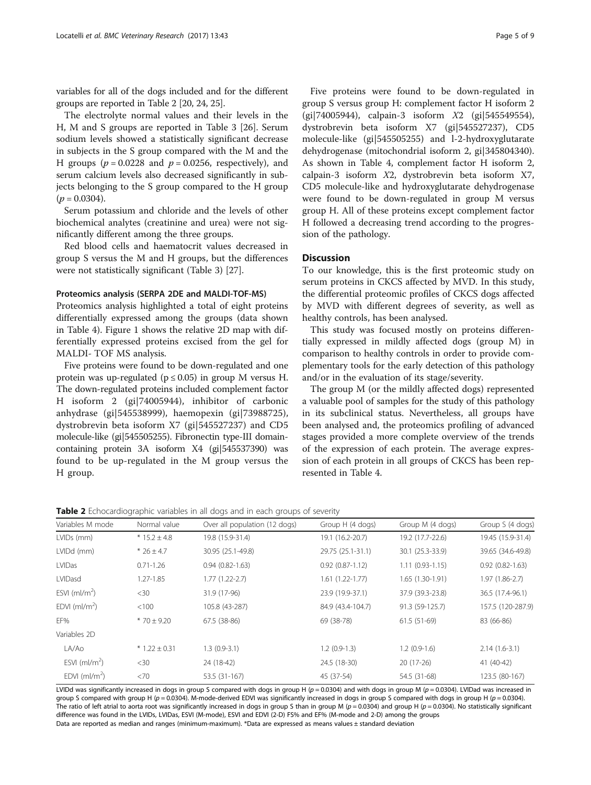variables for all of the dogs included and for the different groups are reported in Table 2 [[20](#page-8-0), [24](#page-8-0), [25\]](#page-8-0).

The electrolyte normal values and their levels in the H, M and S groups are reported in Table [3](#page-5-0) [\[26\]](#page-8-0). Serum sodium levels showed a statistically significant decrease in subjects in the S group compared with the M and the H groups ( $p = 0.0228$  and  $p = 0.0256$ , respectively), and serum calcium levels also decreased significantly in subjects belonging to the S group compared to the H group  $(p = 0.0304)$ .

Serum potassium and chloride and the levels of other biochemical analytes (creatinine and urea) were not significantly different among the three groups.

Red blood cells and haematocrit values decreased in group S versus the M and H groups, but the differences were not statistically significant (Table [3](#page-5-0)) [[27\]](#page-8-0).

# Proteomics analysis (SERPA 2DE and MALDI-TOF-MS)

Proteomics analysis highlighted a total of eight proteins differentially expressed among the groups (data shown in Table [4\)](#page-5-0). Figure [1](#page-6-0) shows the relative 2D map with differentially expressed proteins excised from the gel for MALDI- TOF MS analysis.

Five proteins were found to be down-regulated and one protein was up-regulated ( $p \le 0.05$ ) in group M versus H. The down-regulated proteins included complement factor H isoform 2 (gi|74005944), inhibitor of carbonic anhydrase (gi|545538999), haemopexin (gi|73988725), dystrobrevin beta isoform X7 (gi|545527237) and CD5 molecule-like (gi|545505255). Fibronectin type-III domaincontaining protein 3A isoform X4 (gi|545537390) was found to be up-regulated in the M group versus the H group.

Five proteins were found to be down-regulated in group S versus group H: complement factor H isoform 2 (gi|74005944), calpain-3 isoform X2 (gi|545549554), dystrobrevin beta isoform X7 (gi|545527237), CD5 molecule-like (gi|545505255) and l-2-hydroxyglutarate dehydrogenase (mitochondrial isoform 2, gi|345804340). As shown in Table [4](#page-5-0), complement factor H isoform 2, calpain-3 isoform X2, dystrobrevin beta isoform X7, CD5 molecule-like and hydroxyglutarate dehydrogenase were found to be down-regulated in group M versus group H. All of these proteins except complement factor H followed a decreasing trend according to the progression of the pathology.

# **Discussion**

To our knowledge, this is the first proteomic study on serum proteins in CKCS affected by MVD. In this study, the differential proteomic profiles of CKCS dogs affected by MVD with different degrees of severity, as well as healthy controls, has been analysed.

This study was focused mostly on proteins differentially expressed in mildly affected dogs (group M) in comparison to healthy controls in order to provide complementary tools for the early detection of this pathology and/or in the evaluation of its stage/severity.

The group M (or the mildly affected dogs) represented a valuable pool of samples for the study of this pathology in its subclinical status. Nevertheless, all groups have been analysed and, the proteomics profiling of advanced stages provided a more complete overview of the trends of the expression of each protein. The average expression of each protein in all groups of CKCS has been represented in Table [4.](#page-5-0)

Table 2 Echocardiographic variables in all dogs and in each groups of severity

| Variables M mode | Normal value      | Over all population (12 dogs) | Group H (4 dogs)    | Group M (4 dogs)  | Group S (4 dogs)    |
|------------------|-------------------|-------------------------------|---------------------|-------------------|---------------------|
| LVIDs (mm)       | $* 15.2 \pm 4.8$  | 19.8 (15.9-31.4)              | 19.1 (16.2-20.7)    | 19.2 (17.7-22.6)  | 19.45 (15.9-31.4)   |
| LVIDd (mm)       | $*26 \pm 4.7$     | 30.95 (25.1-49.8)             | 29.75 (25.1-31.1)   | 30.1 (25.3-33.9)  | 39.65 (34.6-49.8)   |
| <b>LVIDas</b>    | $0.71 - 1.26$     | $0.94(0.82 - 1.63)$           | $0.92(0.87 - 1.12)$ | $1.11(0.93-1.15)$ | $0.92(0.82 - 1.63)$ |
| LVIDasd          | $1.27 - 1.85$     | $1.77(1.22 - 2.7)$            | $1.61(1.22 - 1.77)$ | $1.65(1.30-1.91)$ | $1.97(1.86-2.7)$    |
| ESVI $(mI/m2)$   | <30               | 31.9 (17-96)                  | 23.9 (19.9-37.1)    | 37.9 (39.3-23.8)  | 36.5 (17.4-96.1)    |
| EDVI $(mI/m2)$   | < 100             | 105.8 (43-287)                | 84.9 (43.4-104.7)   | 91.3 (59-125.7)   | 157.5 (120-287.9)   |
| EF%              | $*70 \pm 9.20$    | 67.5 (38-86)                  | 69 (38-78)          | $61.5(51-69)$     | 83 (66-86)          |
| Variables 2D     |                   |                               |                     |                   |                     |
| LA/Ao            | $* 1.22 \pm 0.31$ | $1.3(0.9-3.1)$                | $1.2(0.9-1.3)$      | $1.2(0.9-1.6)$    | $2.14(1.6-3.1)$     |
| ESVI $(mI/m2)$   | $<$ 30            | 24 (18-42)                    | 24.5 (18-30)        | $20(17-26)$       | 41 (40-42)          |
| EDVI $(mI/m2)$   | <70               | 53.5 (31-167)                 | 45 (37-54)          | 54.5 (31-68)      | 123.5 (80-167)      |

LVIDd was significantly increased in dogs in group S compared with dogs in group H ( $p = 0.0304$ ) and with dogs in group M ( $p = 0.0304$ ). LVIDad was increased in group S compared with group H ( $p = 0.0304$ ). M-mode-derived EDVI was significantly increased in dogs in group S compared with dogs in group H ( $p = 0.0304$ ). The ratio of left atrial to aorta root was significantly increased in dogs in group S than in group M ( $p = 0.0304$ ) and group H ( $p = 0.0304$ ). No statistically significant difference was found in the LVIDs, LVIDas, ESVI (M-mode), ESVI and EDVI (2-D) FS% and EF% (M-mode and 2-D) among the groups Data are reported as median and ranges (minimum-maximum). \*Data are expressed as means values ± standard deviation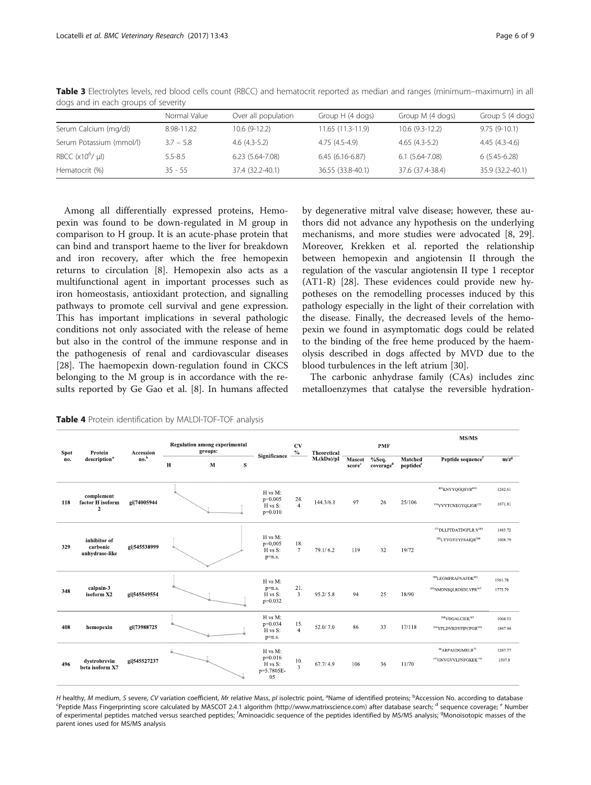|                          | Normal Value | Over all population | Group H (4 dogs)  | Group M (4 dogs)   | Group S (4 dogs) |
|--------------------------|--------------|---------------------|-------------------|--------------------|------------------|
| Serum Calcium (mg/dl)    | 8.98-11.82   | $10.6(9-12.2)$      | 11.65 (11.3-11.9) | $10.6(9.3-12.2)$   | $9.75(9-10.1)$   |
| Serum Potassium (mmol/l) | $3.7 - 5.8$  | $4.6(4.3-5.2)$      | 4.75 (4.5-4.9)    | $4.65(4.3-5.2)$    | $4.45(4.3-4.6)$  |
| RBCC $(x10^6/\mu l)$     | $5.5 - 8.5$  | $6.23(5.64 - 7.08)$ | $6.45(6.16-6.87)$ | $6.1(5.64 - 7.08)$ | $6(5.45-6.28)$   |
| Hematocrit (%)           | $35 - 55$    | 37.4 (32.2-40.1)    | 36.55 (33.8-40.1) | 37.6 (37.4-38.4)   | 35.9 (32.2-40.1) |

<span id="page-5-0"></span>Table 3 Electrolytes levels, red blood cells count (RBCC) and hematocrit reported as median and ranges (minimum–maximum) in all dogs and in each groups of severity

Among all differentially expressed proteins, Hemopexin was found to be down-regulated in M group in comparison to H group. It is an acute-phase protein that can bind and transport haeme to the liver for breakdown and iron recovery, after which the free hemopexin returns to circulation [[8\]](#page-8-0). Hemopexin also acts as a multifunctional agent in important processes such as iron homeostasis, antioxidant protection, and signalling pathways to promote cell survival and gene expression. This has important implications in several pathologic conditions not only associated with the release of heme but also in the control of the immune response and in the pathogenesis of renal and cardiovascular diseases [[28\]](#page-8-0). The haemopexin down-regulation found in CKCS belonging to the M group is in accordance with the results reported by Ge Gao et al. [[8\]](#page-8-0). In humans affected by degenerative mitral valve disease; however, these authors did not advance any hypothesis on the underlying mechanisms, and more studies were advocated [[8, 29](#page-8-0)]. Moreover, Krekken et al. reported the relationship between hemopexin and angiotensin II through the regulation of the vascular angiotensin II type 1 receptor (AT1-R) [[28](#page-8-0)]. These evidences could provide new hypotheses on the remodelling processes induced by this pathology especially in the light of their correlation with the disease. Finally, the decreased levels of the hemopexin we found in asymptomatic dogs could be related to the binding of the free heme produced by the haemolysis described in dogs affected by MVD due to the blood turbulences in the left atrium [\[30](#page-8-0)].

The carbonic anhydrase family (CAs) includes zinc metalloenzymes that catalyse the reversible hydration-

|                        |                                                  |                  |                                                 |   |   |                                                     |                        |               |                 |                                |                                  | MS/MS                                                                                        |                    |
|------------------------|--------------------------------------------------|------------------|-------------------------------------------------|---|---|-----------------------------------------------------|------------------------|---------------|-----------------|--------------------------------|----------------------------------|----------------------------------------------------------------------------------------------|--------------------|
| Protein<br><b>Spot</b> |                                                  | Accession        | <b>Regulation among experimental</b><br>groups: |   |   | <b>CV</b><br>$\%$                                   | <b>Theoretical</b>     | PMF           |                 |                                |                                  |                                                                                              |                    |
| no.                    | description <sup>a</sup>                         | no. <sup>b</sup> | Н                                               | M | s | Significance                                        |                        | $M_r(kDa)/pI$ | Mascot<br>score | %Seq.<br>coverage <sup>d</sup> | Matched<br>peptides <sup>e</sup> | Peptide sequence <sup>f</sup>                                                                | $m/z^g$            |
| 118                    | complement<br>factor H isoform<br>$\overline{2}$ | gi 74005944      |                                                 |   |   | H vs M:<br>$p=0.005$<br>H vs S:<br>$p=0.010$        | 24.<br>$\overline{4}$  | 144.3/6.1     | 97              | 26                             | 25/106                           | <sup>401</sup> KNYYOGOSVR <sup>410</sup><br><sup>110</sup> VVYTCNEGYOLIGR <sup>123</sup>     | 1242.61<br>1671.81 |
| 329                    | inhibitor of<br>carbonic<br>anhydrase-like       | gi 545538999     |                                                 |   |   | H vs M:<br>$p=0,005$<br>H vs S:<br>p=n.s.           | 18.<br>$7\overline{ }$ | 79.1/6.2      | 119             | 32                             | 19/72                            | <sup>271</sup> DLLFTDATDGFLR.V <sup>283</sup><br><sup>292</sup> LYVGYEYFSAIQR <sup>304</sup> | 1483.72<br>1608.79 |
| 348                    | calpain 3<br>isoform X2                          | gi 545549554     |                                                 |   |   | H vs M:<br>$p=n.s.$<br>H vs S:<br>$p=0.032$         | 21.<br>$\overline{3}$  | 95.2 / 5.8    | 94              | 25                             | 18/90                            | <sup>789</sup> LEGMFRAFNAFDK <sup>801</sup><br><sup>293</sup> NMDNSQLRDSDLVPR <sup>307</sup> | 1561.78<br>1775.79 |
| 408                    | hemopexin                                        | gi 73988725      |                                                 |   |   | H vs M:<br>$p=0.034$<br>H vs S:<br>$p=n.s.$         | 15.<br>$\overline{4}$  | 52.0/7.0      | 86              | 33                             | 17/118                           | <sup>399</sup> VDGALCIEK <sup>407</sup><br><sup>216</sup> YPLDVRDYFIPCPGR <sup>230</sup>     | 1004.53<br>1867.94 |
| 496                    | dystrobrevin<br>beta isoform X7                  | gi 545527237     |                                                 |   |   | H vs M:<br>$p=0.016$<br>H vs S:<br>p=5.7805E-<br>05 | 10.<br>$\overline{3}$  | 67.7/4.9      | 106             | 36                             | 11/70                            | <sup>66</sup> ARPAEDGMRLR <sup>77</sup><br>157GNVGVVLFNFGKEK <sup>170</sup>                  | 1287.77<br>1507.8  |

Table 4 Protein identification by MALDI-TOF-TOF analysis

H healthy, M medium, S severe, CV variation coefficient, Mr relative Mass, pl isolectric point, <sup>a</sup>Name of identified proteins; <sup>b</sup>Accession No. according to database<br>Sportide Mass Fingerprinting score calculated by MASCOT <sup>c</sup>Peptide Mass Fingerprinting score calculated by MASCOT 2.4.1 algorithm (<http://www.matrixscience.com>) after database search; <sup>d</sup> sequence coverage; <sup>e</sup> Number of experimental peptides matched versus searched peptides; <sup>f</sup>Aminoacidic sequence of the peptides identified by MS/MS analysis; <sup>g</sup>Monoisotopic masses of the parent iones used for MS/MS analysis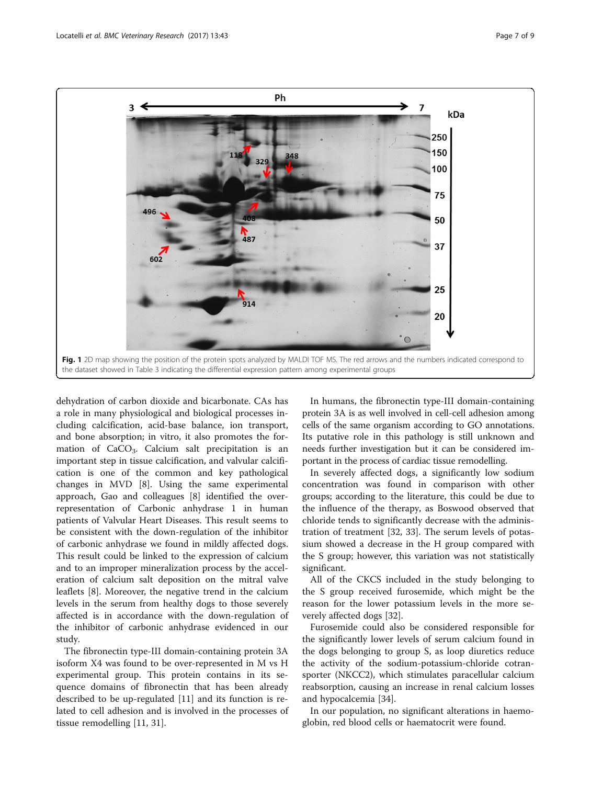<span id="page-6-0"></span>

dehydration of carbon dioxide and bicarbonate. CAs has a role in many physiological and biological processes including calcification, acid-base balance, ion transport, and bone absorption; in vitro, it also promotes the formation of CaCO<sub>3</sub>. Calcium salt precipitation is an important step in tissue calcification, and valvular calcification is one of the common and key pathological changes in MVD [\[8](#page-8-0)]. Using the same experimental approach, Gao and colleagues [\[8](#page-8-0)] identified the overrepresentation of Carbonic anhydrase 1 in human patients of Valvular Heart Diseases. This result seems to be consistent with the down-regulation of the inhibitor of carbonic anhydrase we found in mildly affected dogs. This result could be linked to the expression of calcium and to an improper mineralization process by the acceleration of calcium salt deposition on the mitral valve leaflets [[8\]](#page-8-0). Moreover, the negative trend in the calcium levels in the serum from healthy dogs to those severely affected is in accordance with the down-regulation of the inhibitor of carbonic anhydrase evidenced in our study.

The fibronectin type-III domain-containing protein 3A isoform X4 was found to be over-represented in M vs H experimental group. This protein contains in its sequence domains of fibronectin that has been already described to be up-regulated [[11\]](#page-8-0) and its function is related to cell adhesion and is involved in the processes of tissue remodelling [[11](#page-8-0), [31](#page-8-0)].

In humans, the fibronectin type-III domain-containing protein 3A is as well involved in cell-cell adhesion among cells of the same organism according to GO annotations. Its putative role in this pathology is still unknown and needs further investigation but it can be considered important in the process of cardiac tissue remodelling.

In severely affected dogs, a significantly low sodium concentration was found in comparison with other groups; according to the literature, this could be due to the influence of the therapy, as Boswood observed that chloride tends to significantly decrease with the administration of treatment [[32](#page-8-0), [33\]](#page-8-0). The serum levels of potassium showed a decrease in the H group compared with the S group; however, this variation was not statistically significant.

All of the CKCS included in the study belonging to the S group received furosemide, which might be the reason for the lower potassium levels in the more severely affected dogs [\[32](#page-8-0)].

Furosemide could also be considered responsible for the significantly lower levels of serum calcium found in the dogs belonging to group S, as loop diuretics reduce the activity of the sodium-potassium-chloride cotransporter (NKCC2), which stimulates paracellular calcium reabsorption, causing an increase in renal calcium losses and hypocalcemia [\[34\]](#page-8-0).

In our population, no significant alterations in haemoglobin, red blood cells or haematocrit were found.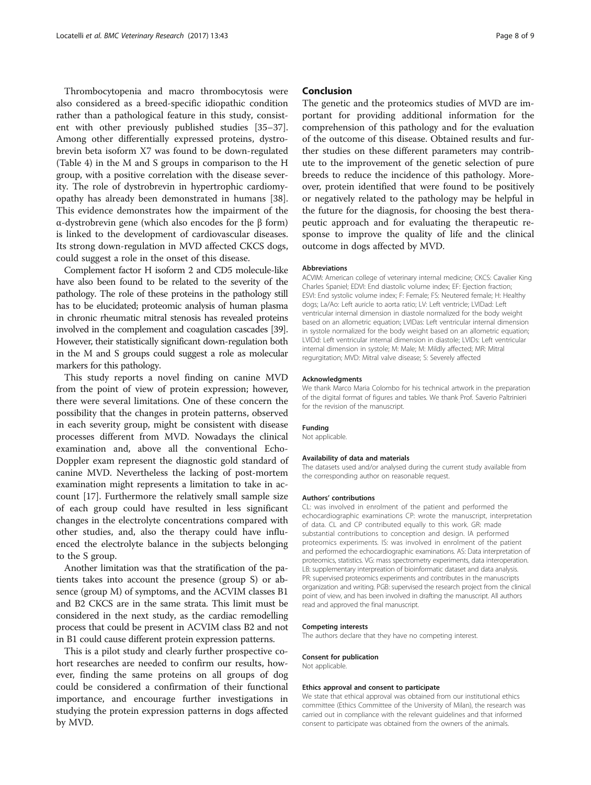Thrombocytopenia and macro thrombocytosis were also considered as a breed-specific idiopathic condition rather than a pathological feature in this study, consistent with other previously published studies [[35](#page-8-0)–[37](#page-8-0)]. Among other differentially expressed proteins, dystrobrevin beta isoform X7 was found to be down-regulated (Table [4](#page-5-0)) in the M and S groups in comparison to the H group, with a positive correlation with the disease severity. The role of dystrobrevin in hypertrophic cardiomyopathy has already been demonstrated in humans [\[38](#page-8-0)]. This evidence demonstrates how the impairment of the α-dystrobrevin gene (which also encodes for the β form) is linked to the development of cardiovascular diseases. Its strong down-regulation in MVD affected CKCS dogs, could suggest a role in the onset of this disease.

Complement factor H isoform 2 and CD5 molecule-like have also been found to be related to the severity of the pathology. The role of these proteins in the pathology still has to be elucidated; proteomic analysis of human plasma in chronic rheumatic mitral stenosis has revealed proteins involved in the complement and coagulation cascades [\[39](#page-8-0)]. However, their statistically significant down-regulation both in the M and S groups could suggest a role as molecular markers for this pathology.

This study reports a novel finding on canine MVD from the point of view of protein expression; however, there were several limitations. One of these concern the possibility that the changes in protein patterns, observed in each severity group, might be consistent with disease processes different from MVD. Nowadays the clinical examination and, above all the conventional Echo-Doppler exam represent the diagnostic gold standard of canine MVD. Nevertheless the lacking of post-mortem examination might represents a limitation to take in account [[17\]](#page-8-0). Furthermore the relatively small sample size of each group could have resulted in less significant changes in the electrolyte concentrations compared with other studies, and, also the therapy could have influenced the electrolyte balance in the subjects belonging to the S group.

Another limitation was that the stratification of the patients takes into account the presence (group S) or absence (group M) of symptoms, and the ACVIM classes B1 and B2 CKCS are in the same strata. This limit must be considered in the next study, as the cardiac remodelling process that could be present in ACVIM class B2 and not in B1 could cause different protein expression patterns.

This is a pilot study and clearly further prospective cohort researches are needed to confirm our results, however, finding the same proteins on all groups of dog could be considered a confirmation of their functional importance, and encourage further investigations in studying the protein expression patterns in dogs affected by MVD.

# Conclusion

The genetic and the proteomics studies of MVD are important for providing additional information for the comprehension of this pathology and for the evaluation of the outcome of this disease. Obtained results and further studies on these different parameters may contribute to the improvement of the genetic selection of pure breeds to reduce the incidence of this pathology. Moreover, protein identified that were found to be positively or negatively related to the pathology may be helpful in the future for the diagnosis, for choosing the best therapeutic approach and for evaluating the therapeutic response to improve the quality of life and the clinical outcome in dogs affected by MVD.

#### **Abbreviations**

ACVIM: American college of veterinary internal medicine; CKCS: Cavalier King Charles Spaniel; EDVI: End diastolic volume index; EF: Ejection fraction; ESVI: End systolic volume index; F: Female; FS: Neutered female; H: Healthy dogs; La/Ao: Left auricle to aorta ratio; LV: Left ventricle; LVIDad: Left ventricular internal dimension in diastole normalized for the body weight based on an allometric equation; LVIDas: Left ventricular internal dimension in systole normalized for the body weight based on an allometric equation; LVIDd: Left ventricular internal dimension in diastole; LVIDs: Left ventricular internal dimension in systole; M: Male; M: Mildly affected; MR: Mitral regurgitation; MVD: Mitral valve disease; S: Severely affected

#### Acknowledgments

We thank Marco Maria Colombo for his technical artwork in the preparation of the digital format of figures and tables. We thank Prof. Saverio Paltrinieri for the revision of the manuscript.

#### Funding

Not applicable.

#### Availability of data and materials

The datasets used and/or analysed during the current study available from the corresponding author on reasonable request.

#### Authors' contributions

CL: was involved in enrolment of the patient and performed the echocardiographic examinations CP: wrote the manuscript, interpretation of data. CL and CP contributed equally to this work. GR: made substantial contributions to conception and design. IA performed proteomics experiments. IS: was involved in enrolment of the patient and performed the echocardiographic examinations. AS: Data interpretation of proteomics, statistics. VG: mass spectrometry experiments, data interoperation. LB: supplementary interpreation of bioinformatic dataset and data analysis. PR: supervised proteomics experiments and contributes in the manuscripts organization and writing. PGB: supervised the research project from the clinical point of view, and has been involved in drafting the manuscript. All authors read and approved the final manuscript.

#### Competing interests

The authors declare that they have no competing interest.

#### Consent for publication

Not applicable.

#### Ethics approval and consent to participate

We state that ethical approval was obtained from our institutional ethics committee (Ethics Committee of the University of Milan), the research was carried out in compliance with the relevant guidelines and that informed consent to participate was obtained from the owners of the animals.